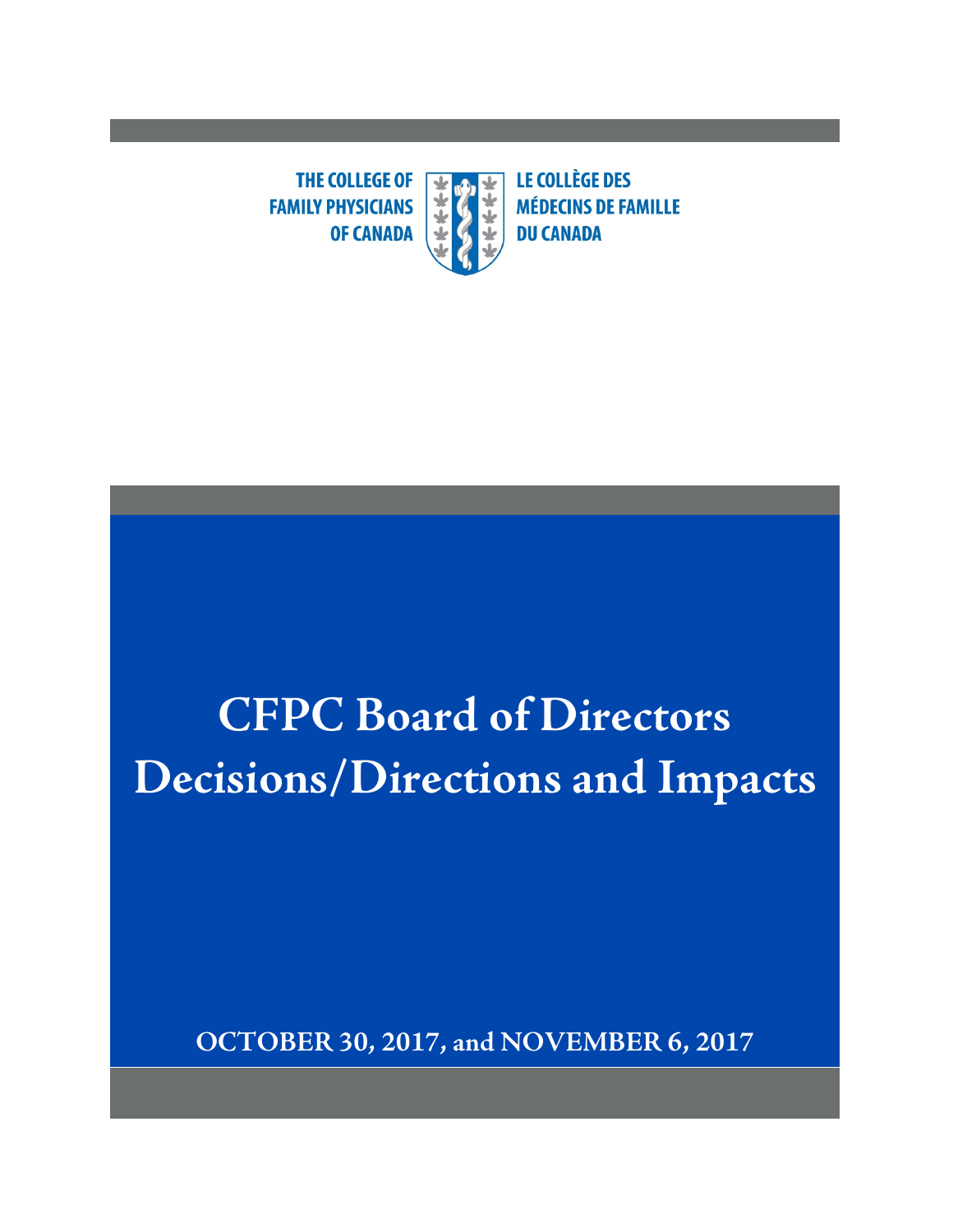**THE COLLEGE OF** ₩ **FAMILY PHYSICIANS OF CANADA** 

**LE COLLÈGE DES MÉDECINS DE FAMILLE DU CANADA** 

# **CFPC Board of Directors Decisions/Directions and Impacts**

**OCTOBER 30, 2017, and NOVEMBER 6, 2017**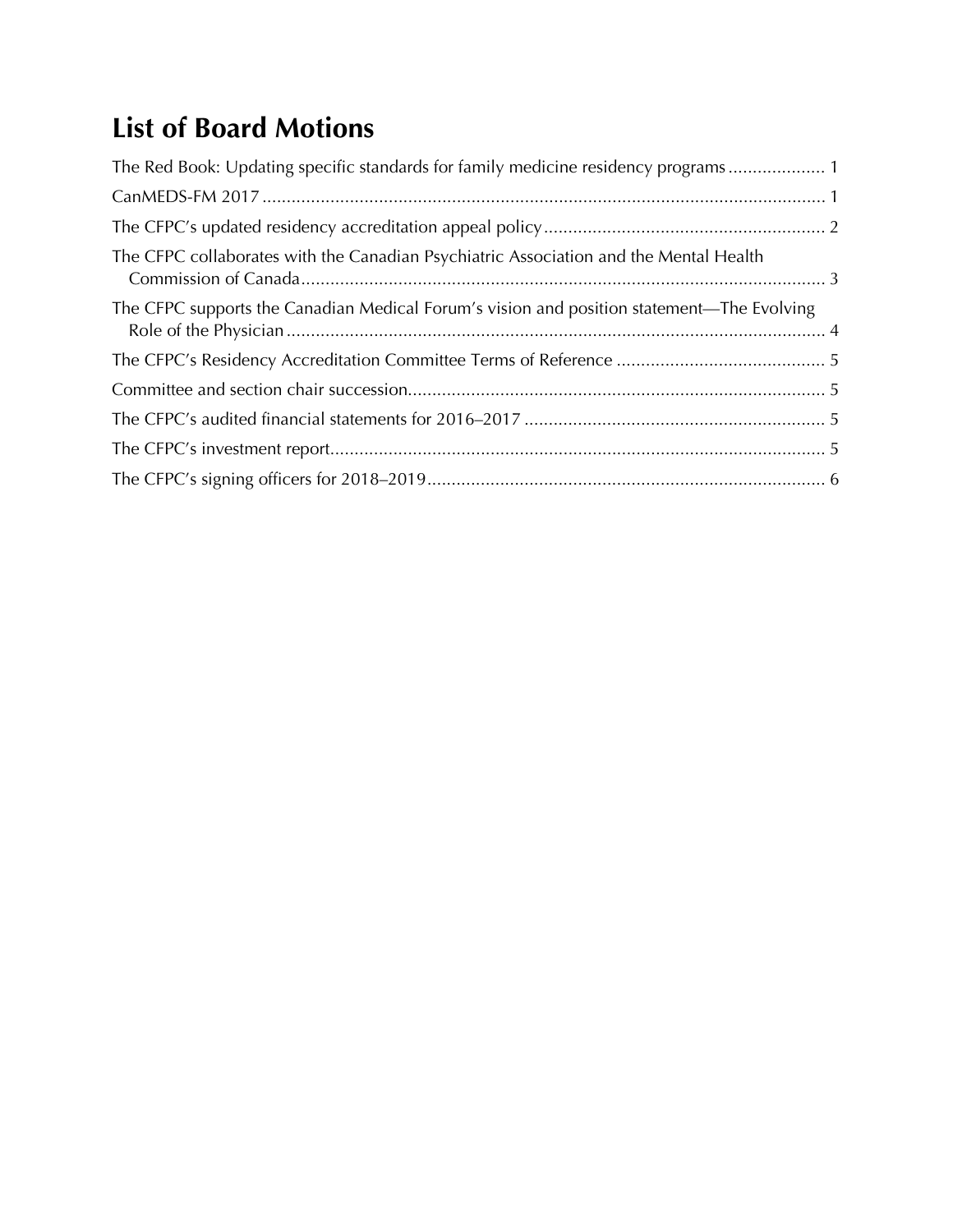# **List of Board Motions**

| The Red Book: Updating specific standards for family medicine residency programs 1        |  |
|-------------------------------------------------------------------------------------------|--|
|                                                                                           |  |
|                                                                                           |  |
| The CFPC collaborates with the Canadian Psychiatric Association and the Mental Health     |  |
| The CFPC supports the Canadian Medical Forum's vision and position statement—The Evolving |  |
|                                                                                           |  |
|                                                                                           |  |
|                                                                                           |  |
|                                                                                           |  |
|                                                                                           |  |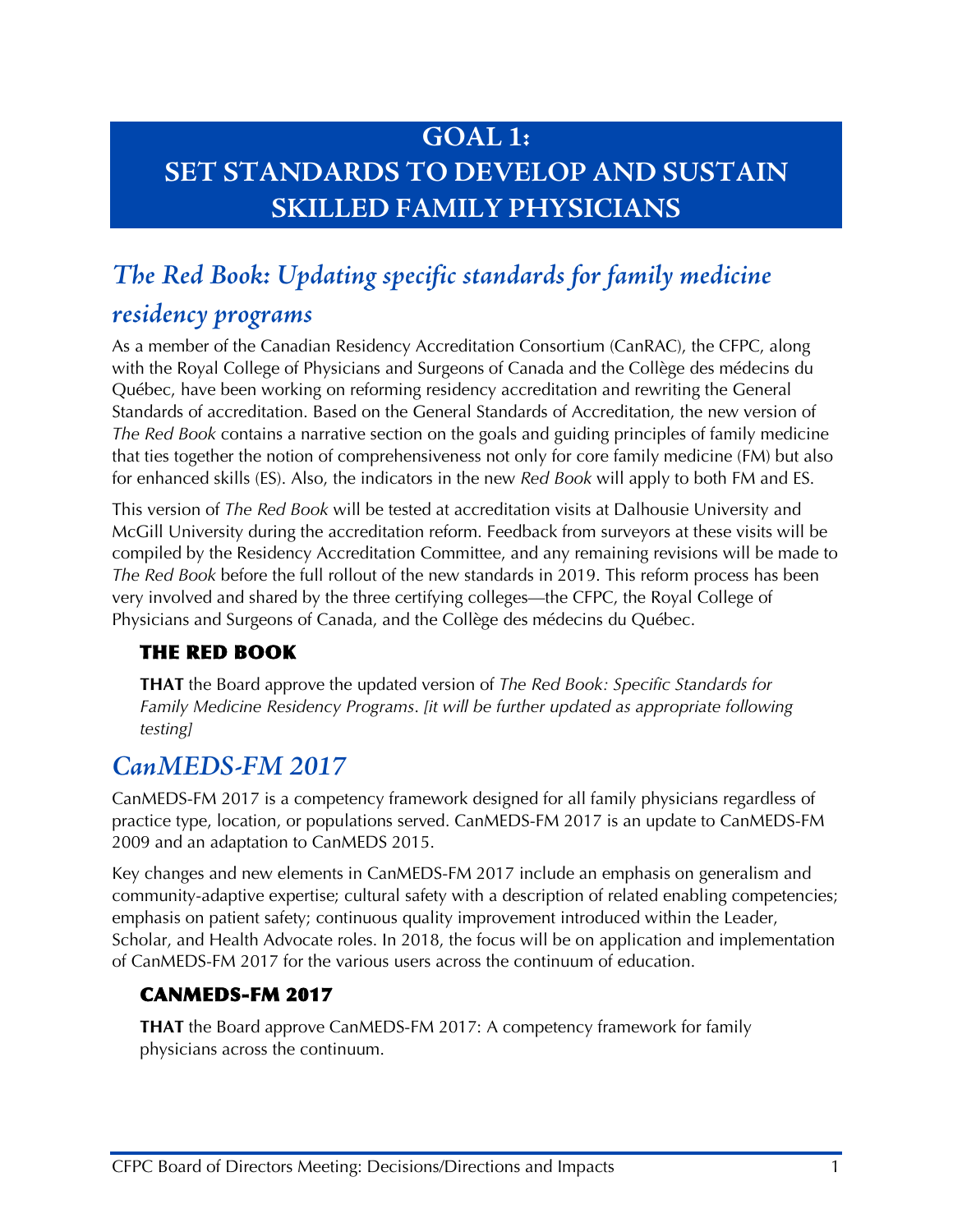## **GOAL 1: SET STANDARDS TO DEVELOP AND SUSTAIN SKILLED FAMILY PHYSICIANS**

# <span id="page-2-0"></span>*The Red Book: Updating specific standards for family medicine residency programs*

#### As a member of the Canadian Residency Accreditation Consortium (CanRAC), the CFPC, along with the Royal College of Physicians and Surgeons of Canada and the Collège des médecins du Québec, have been working on reforming residency accreditation and rewriting the General Standards of accreditation. Based on the General Standards of Accreditation, the new version of *The Red Book* contains a narrative section on the goals and guiding principles of family medicine that ties together the notion of comprehensiveness not only for core family medicine (FM) but also for enhanced skills (ES). Also, the indicators in the new *Red Book* will apply to both FM and ES.

This version of *The Red Book* will be tested at accreditation visits at Dalhousie University and McGill University during the accreditation reform. Feedback from surveyors at these visits will be compiled by the Residency Accreditation Committee, and any remaining revisions will be made to *The Red Book* before the full rollout of the new standards in 2019. This reform process has been very involved and shared by the three certifying colleges—the CFPC, the Royal College of Physicians and Surgeons of Canada, and the Collège des médecins du Québec.

#### THE RED BOOK

**THAT** the Board approve the updated version of *The Red Book: Specific Standards for Family Medicine Residency Programs*. *[it will be further updated as appropriate following testing]*

### <span id="page-2-1"></span>*CanMEDS-FM 2017*

CanMEDS-FM 2017 is a competency framework designed for all family physicians regardless of practice type, location, or populations served. CanMEDS-FM 2017 is an update to CanMEDS-FM 2009 and an adaptation to CanMEDS 2015.

Key changes and new elements in CanMEDS-FM 2017 include an emphasis on generalism and community-adaptive expertise; cultural safety with a description of related enabling competencies; emphasis on patient safety; continuous quality improvement introduced within the Leader, Scholar, and Health Advocate roles. In 2018, the focus will be on application and implementation of CanMEDS-FM 2017 for the various users across the continuum of education.

#### CANMEDS-FM 2017

**THAT** the Board approve CanMEDS-FM 2017: A competency framework for family physicians across the continuum.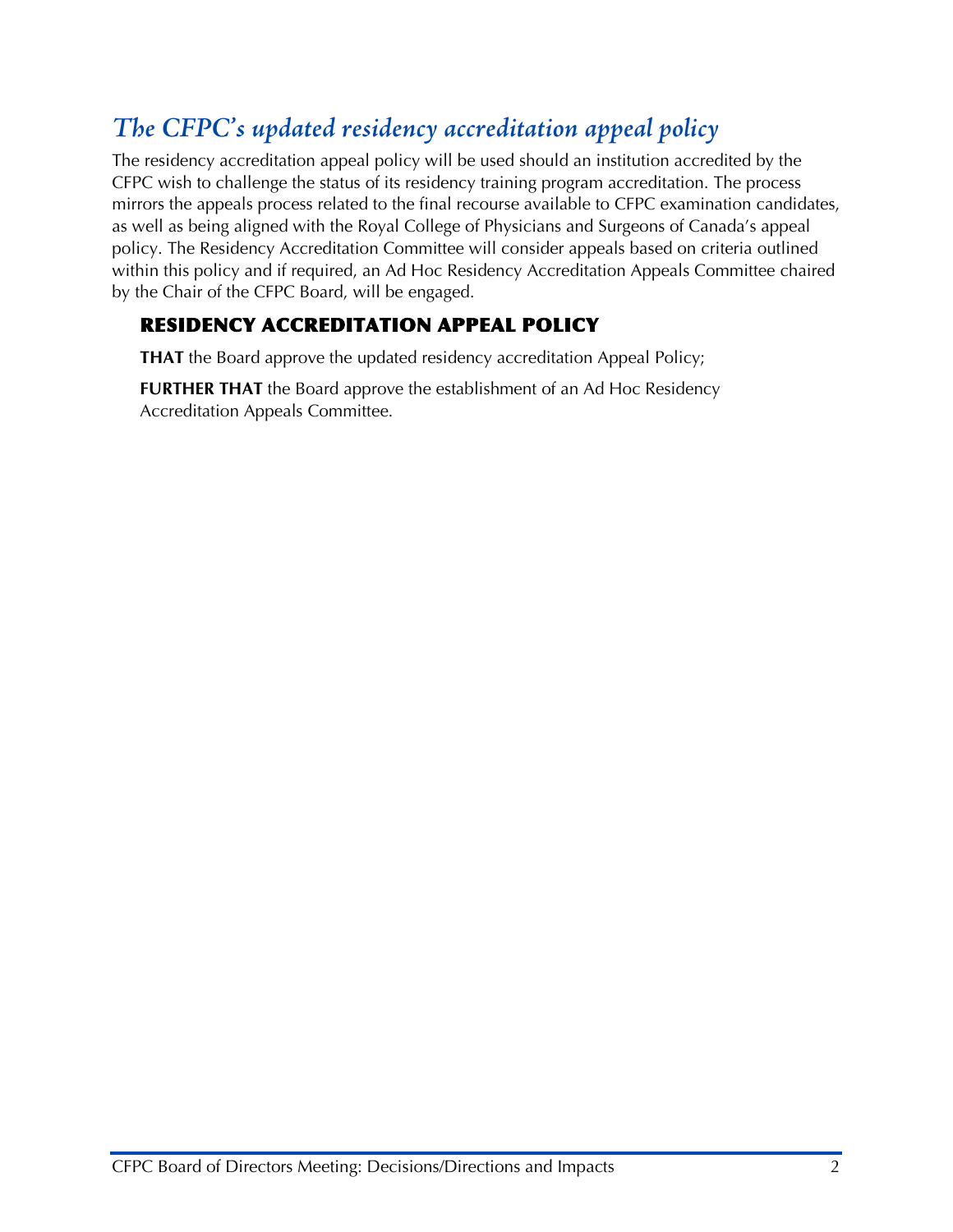### <span id="page-3-0"></span>*The CFPC's updated residency accreditation appeal policy*

The residency accreditation appeal policy will be used should an institution accredited by the CFPC wish to challenge the status of its residency training program accreditation. The process mirrors the appeals process related to the final recourse available to CFPC examination candidates, as well as being aligned with the Royal College of Physicians and Surgeons of Canada's appeal policy. The Residency Accreditation Committee will consider appeals based on criteria outlined within this policy and if required, an Ad Hoc Residency Accreditation Appeals Committee chaired by the Chair of the CFPC Board, will be engaged.

#### RESIDENCY ACCREDITATION APPEAL POLICY

**THAT** the Board approve the updated residency accreditation Appeal Policy;

**FURTHER THAT** the Board approve the establishment of an Ad Hoc Residency Accreditation Appeals Committee.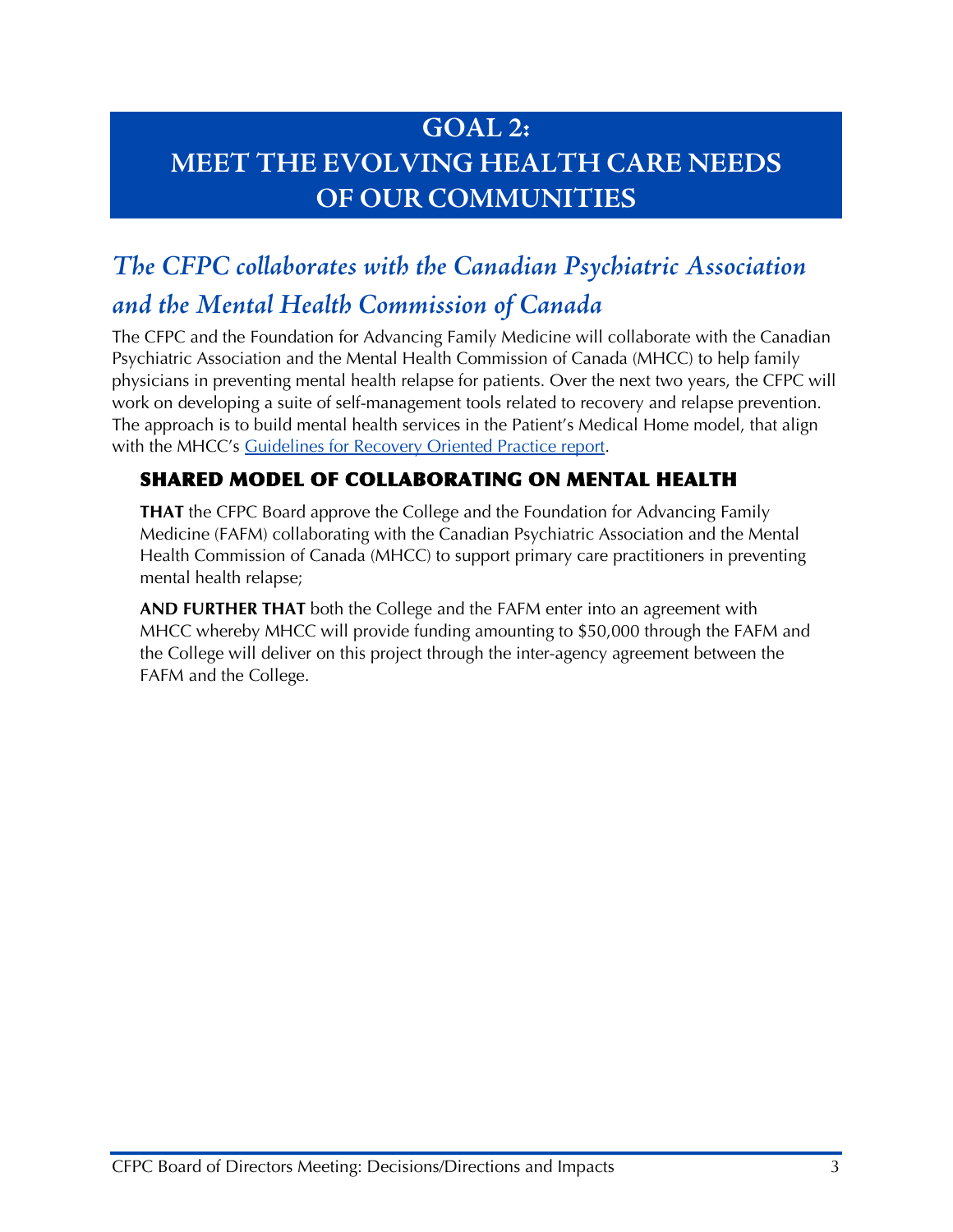## **GOAL 2: MEET THE EVOLVING HEALTH CARE NEEDS OF OUR COMMUNITIES**

# <span id="page-4-0"></span>*The CFPC collaborates with the Canadian Psychiatric Association and the Mental Health Commission of Canada*

The CFPC and the Foundation for Advancing Family Medicine will collaborate with the Canadian Psychiatric Association and the Mental Health Commission of Canada (MHCC) to help family physicians in preventing mental health relapse for patients. Over the next two years, the CFPC will work on developing a suite of self-management tools related to recovery and relapse prevention. The approach is to build mental health services in the Patient's Medical Home model, that align with the MHCC's [Guidelines for Recovery Oriented Practice report.](https://www.mentalhealthcommission.ca/sites/default/files/MHCC_RecoveryGuidelines_ENG_0.pdf)

#### SHARED MODEL OF COLLABORATING ON MENTAL HEALTH

**THAT** the CFPC Board approve the College and the Foundation for Advancing Family Medicine (FAFM) collaborating with the Canadian Psychiatric Association and the Mental Health Commission of Canada (MHCC) to support primary care practitioners in preventing mental health relapse;

**AND FURTHER THAT** both the College and the FAFM enter into an agreement with MHCC whereby MHCC will provide funding amounting to \$50,000 through the FAFM and the College will deliver on this project through the inter-agency agreement between the FAFM and the College.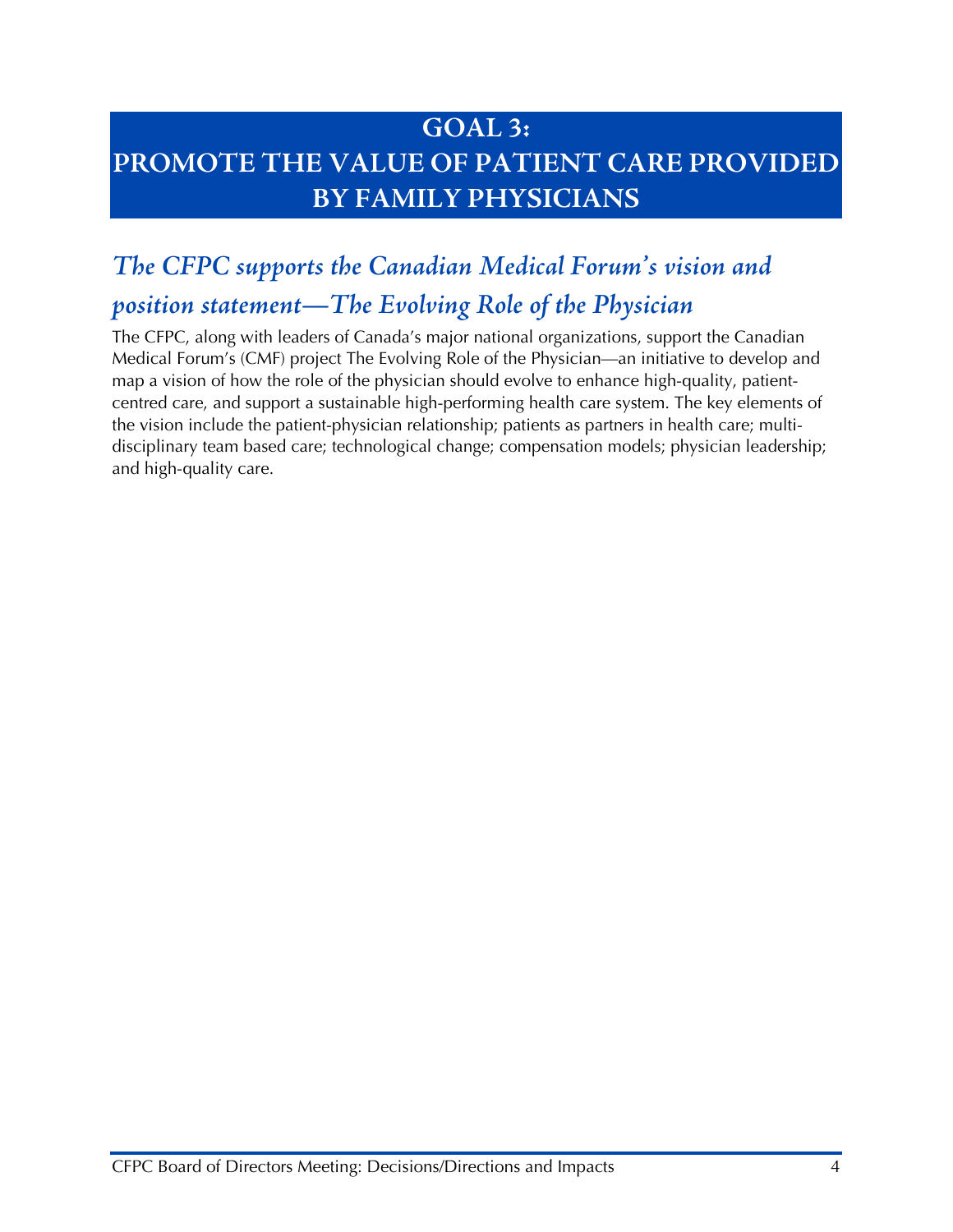### **GOAL 3: PROMOTE THE VALUE OF PATIENT CARE PROVIDED BY FAMILY PHYSICIANS**

### <span id="page-5-0"></span>*The CFPC supports the Canadian Medical Forum's vision and*

### *position statement—The Evolving Role of the Physician*

The CFPC, along with leaders of Canada's major national organizations, support the Canadian Medical Forum's (CMF) project The Evolving Role of the Physician—an initiative to develop and map a vision of how the role of the physician should evolve to enhance high-quality, patientcentred care, and support a sustainable high-performing health care system. The key elements of the vision include the patient-physician relationship; patients as partners in health care; multidisciplinary team based care; technological change; compensation models; physician leadership; and high-quality care.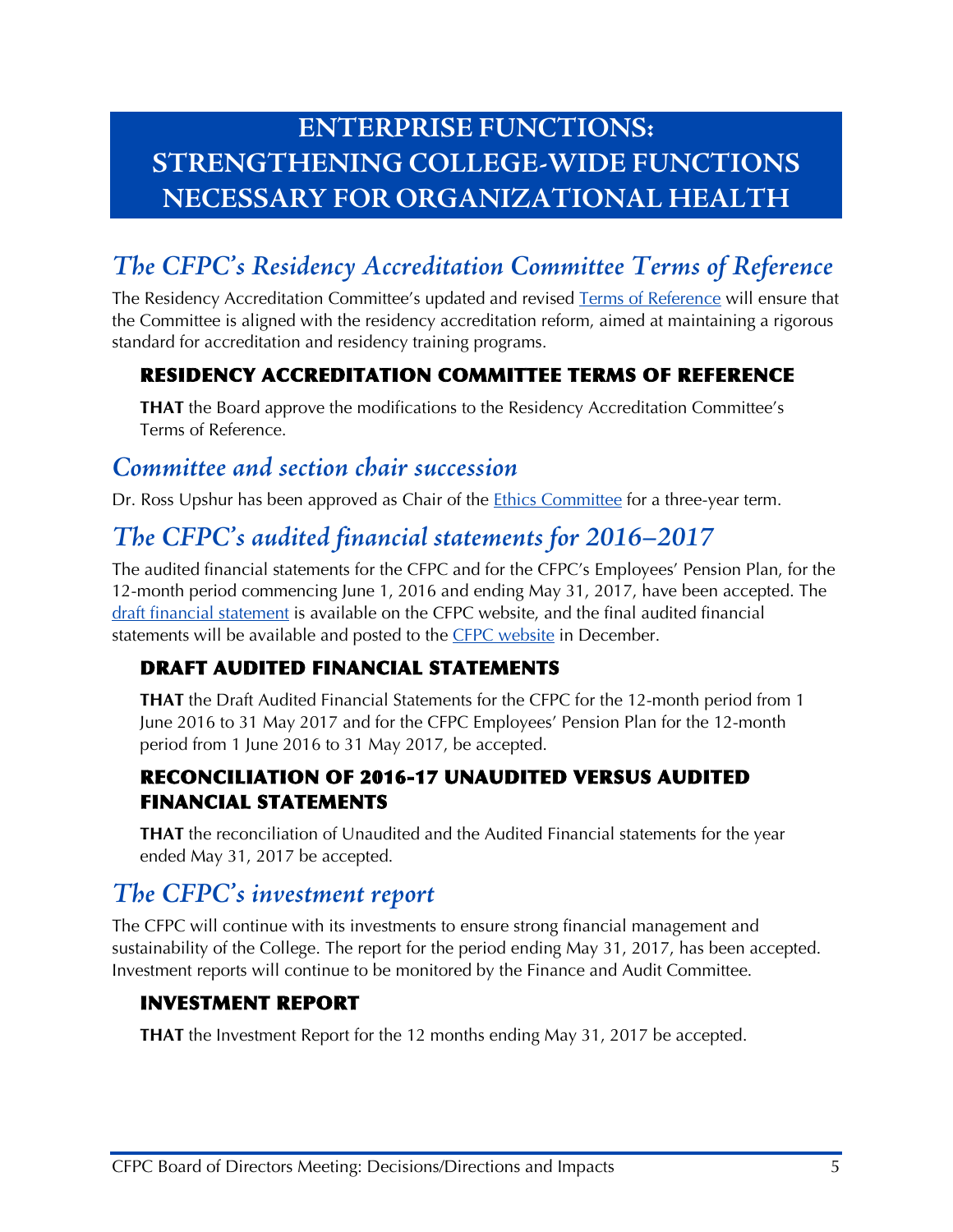## **ENTERPRISE FUNCTIONS: STRENGTHENING COLLEGE-WIDE FUNCTIONS NECESSARY FOR ORGANIZATIONAL HEALTH**

# <span id="page-6-0"></span>*The CFPC's Residency Accreditation Committee Terms of Reference*

The Residency Accreditation Committee's updated and revised [Terms of Reference](http://www.cfpc.ca/uploadedFiles/Directories/Committees_List/RAC_TOR_BoardApproved_Nov2017.pdf) will ensure that the Committee is aligned with the residency accreditation reform, aimed at maintaining a rigorous standard for accreditation and residency training programs.

#### RESIDENCY ACCREDITATION COMMITTEE TERMS OF REFERENCE

**THAT** the Board approve the modifications to the Residency Accreditation Committee's Terms of Reference.

#### <span id="page-6-1"></span>*Committee and section chair succession*

Dr. Ross Upshur has been approved as Chair of the **Ethics Committee for a three-year term.** 

### <span id="page-6-2"></span>*The CFPC's audited financial statements for 2016–2017*

The audited financial statements for the CFPC and for the CFPC's Employees' Pension Plan, for the 12-month period commencing June 1, 2016 and ending May 31, 2017, have been accepted. The [draft financial statement](http://www.cfpc.ca/uploadedFiles/About_Us/10a_Draft-Financial-Statements-for-year-ended-May-31-2017.pdf) is available on the CFPC website, and the final audited financial statements will be available and posted to the [CFPC website](http://www.cfpc.ca/ProjectAssets/Templates/Category.aspx?id=689&langType=4105&terms=annual+report) in December.

#### DRAFT AUDITED FINANCIAL STATEMENTS

**THAT** the Draft Audited Financial Statements for the CFPC for the 12-month period from 1 June 2016 to 31 May 2017 and for the CFPC Employees' Pension Plan for the 12-month period from 1 June 2016 to 31 May 2017, be accepted.

#### RECONCILIATION OF 2016-17 UNAUDITED VERSUS AUDITED FINANCIAL STATEMENTS

**THAT** the reconciliation of Unaudited and the Audited Financial statements for the year ended May 31, 2017 be accepted.

### <span id="page-6-3"></span>*The CFPC's investment report*

The CFPC will continue with its investments to ensure strong financial management and sustainability of the College. The report for the period ending May 31, 2017, has been accepted. Investment reports will continue to be monitored by the Finance and Audit Committee.

#### INVESTMENT REPORT

**THAT** the Investment Report for the 12 months ending May 31, 2017 be accepted.